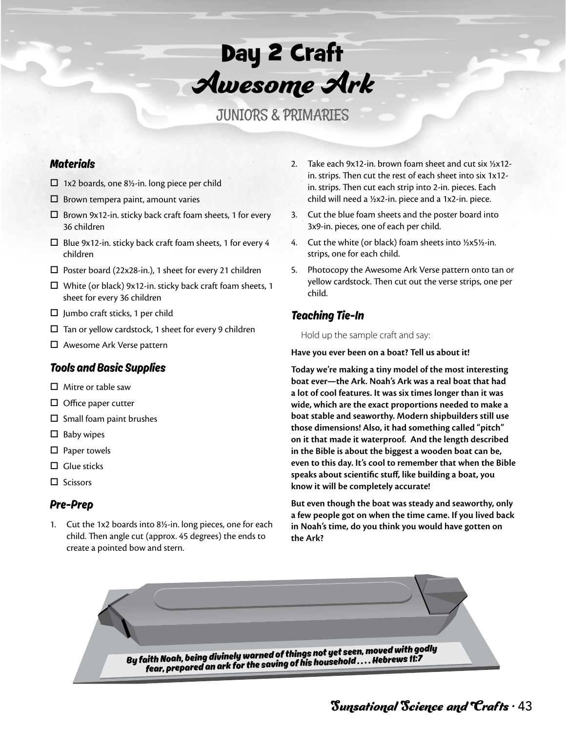

JUNIORS & PRIMARIES

## **Materials**

- $\Box$  1x2 boards, one 8½-in. long piece per child
- $\square$  Brown tempera paint, amount varies
- $\square$  Brown 9x12-in. sticky back craft foam sheets, 1 for every 36 children
- $\square$  Blue 9x12-in. sticky back craft foam sheets, 1 for every 4 children
- $\square$  Poster board (22x28-in.), 1 sheet for every 21 children
- $\Box$  White (or black) 9x12-in. sticky back craft foam sheets, 1 sheet for every 36 children
- $\square$  Jumbo craft sticks, 1 per child
- $\Box$  Tan or yellow cardstock, 1 sheet for every 9 children
- □ Awesome Ark Verse pattern

## Tools and Basic Supplies

- $\Box$  Mitre or table saw
- $\Box$  Office paper cutter
- $\square$  Small foam paint brushes
- $\Box$  Baby wipes
- $\square$  Paper towels
- $\Box$  Glue sticks
- $\Box$  Scissors

## Pre-Prep

1. Cut the 1x2 boards into 8½-in. long pieces, one for each child. Then angle cut (approx. 45 degrees) the ends to create a pointed bow and stern.

- 2. Take each  $9x12$ -in. brown foam sheet and cut six  $\frac{1}{2}x12$ in. strips. Then cut the rest of each sheet into six 1x12 in. strips. Then cut each strip into 2-in. pieces. Each child will need a 1/2x2-in. piece and a 1x2-in. piece.
- 3. Cut the blue foam sheets and the poster board into 3x9-in. pieces, one of each per child.
- 4. Cut the white (or black) foam sheets into ½x5½-in. strips, one for each child.
- 5. Photocopy the Awesome Ark Verse pattern onto tan or yellow cardstock. Then cut out the verse strips, one per child.

## Teaching Tie-In

Hold up the sample craft and say:

#### **Have you ever been on a boat? Tell us about it!**

**Today we're making a tiny model of the most interesting boat ever—the Ark. Noah's Ark was a real boat that had a lot of cool features. It was six times longer than it was wide, which are the exact proportions needed to make a boat stable and seaworthy. Modern shipbuilders still use those dimensions! Also, it had something called "pitch" on it that made it waterproof. And the length described in the Bible is about the biggest a wooden boat can be, even to this day. It's cool to remember that when the Bible speaks about scientific stuff, like building a boat, you know it will be completely accurate!** 

**But even though the boat was steady and seaworthy, only a few people got on when the time came. If you lived back in Noah's time, do you think you would have gotten on the Ark?**

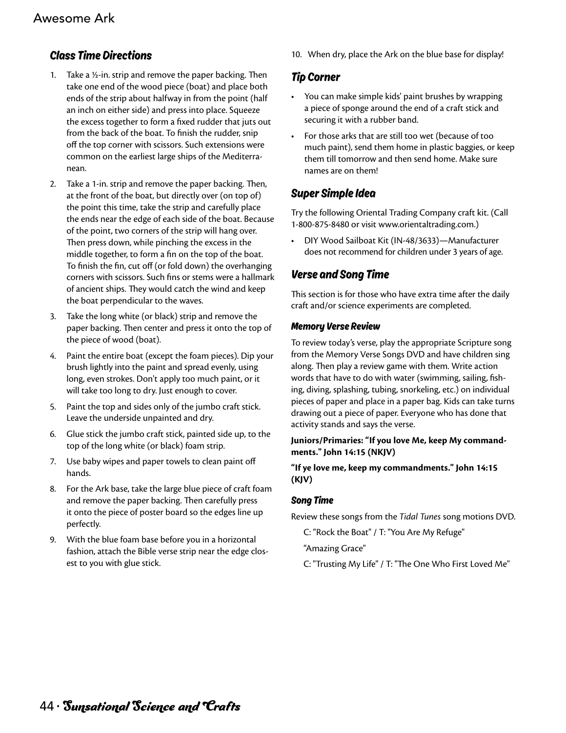## Class Time Directions

- 1. Take a  $\frac{1}{2}$ -in. strip and remove the paper backing. Then take one end of the wood piece (boat) and place both ends of the strip about halfway in from the point (half an inch on either side) and press into place. Squeeze the excess together to form a fixed rudder that juts out from the back of the boat. To finish the rudder, snip off the top corner with scissors. Such extensions were common on the earliest large ships of the Mediterranean.
- 2. Take a 1-in. strip and remove the paper backing. Then, at the front of the boat, but directly over (on top of) the point this time, take the strip and carefully place the ends near the edge of each side of the boat. Because of the point, two corners of the strip will hang over. Then press down, while pinching the excess in the middle together, to form a fin on the top of the boat. To finish the fin, cut off (or fold down) the overhanging corners with scissors. Such fins or stems were a hallmark of ancient ships. They would catch the wind and keep the boat perpendicular to the waves.
- 3. Take the long white (or black) strip and remove the paper backing. Then center and press it onto the top of the piece of wood (boat).
- 4. Paint the entire boat (except the foam pieces). Dip your brush lightly into the paint and spread evenly, using long, even strokes. Don't apply too much paint, or it will take too long to dry. Just enough to cover.
- 5. Paint the top and sides only of the jumbo craft stick. Leave the underside unpainted and dry.
- 6. Glue stick the jumbo craft stick, painted side up, to the top of the long white (or black) foam strip.
- 7. Use baby wipes and paper towels to clean paint off hands.
- 8. For the Ark base, take the large blue piece of craft foam and remove the paper backing. Then carefully press it onto the piece of poster board so the edges line up perfectly.
- 9. With the blue foam base before you in a horizontal fashion, attach the Bible verse strip near the edge closest to you with glue stick.

10. When dry, place the Ark on the blue base for display!

## Tip Corner

- You can make simple kids' paint brushes by wrapping a piece of sponge around the end of a craft stick and securing it with a rubber band.
- For those arks that are still too wet (because of too much paint), send them home in plastic baggies, or keep them till tomorrow and then send home. Make sure names are on them!

# Super Simple Idea

Try the following Oriental Trading Company craft kit. (Call 1-800-875-8480 or visit www.orientaltrading.com.)

• DIY Wood Sailboat Kit (IN-48/3633)—Manufacturer does not recommend for children under 3 years of age.

# Verse and Song Time

This section is for those who have extra time after the daily craft and/or science experiments are completed.

## Memory Verse Review

To review today's verse, play the appropriate Scripture song from the Memory Verse Songs DVD and have children sing along. Then play a review game with them. Write action words that have to do with water (swimming, sailing, fishing, diving, splashing, tubing, snorkeling, etc.) on individual pieces of paper and place in a paper bag. Kids can take turns drawing out a piece of paper. Everyone who has done that activity stands and says the verse.

### **Juniors/Primaries: "If you love Me, keep My commandments." John 14:15 (NKJV)**

### **"If ye love me, keep my commandments." John 14:15 (KJV)**

## Song Time

Review these songs from the *Tidal Tunes* song motions DVD.

C: "Rock the Boat" / T: "You Are My Refuge"

"Amazing Grace"

C: "Trusting My Life" / T: "The One Who First Loved Me"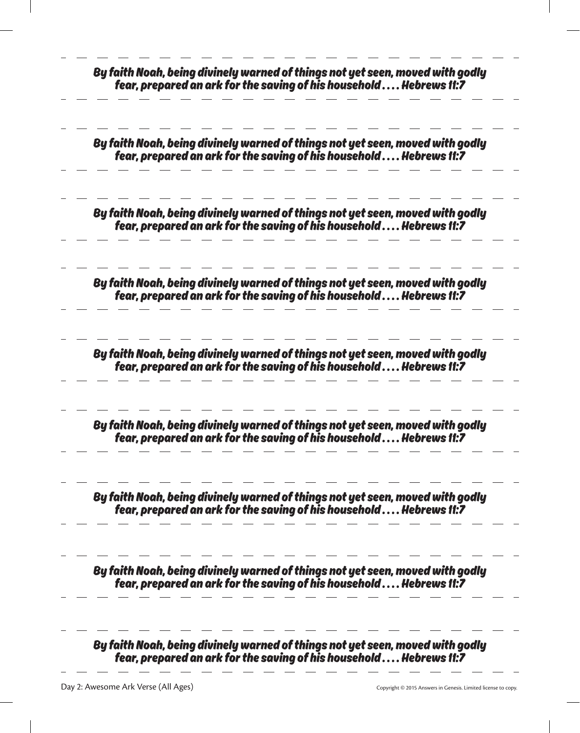| By faith Noah, being divinely warned of things not yet seen, moved with godly<br>fear, prepared an ark for the saving of his household Hebrews 11:7 |
|-----------------------------------------------------------------------------------------------------------------------------------------------------|
| By faith Noah, being divinely warned of things not yet seen, moved with godly<br>fear, prepared an ark for the saving of his household Hebrews 11:7 |
| By faith Noah, being divinely warned of things not yet seen, moved with godly<br>fear, prepared an ark for the saving of his household Hebrews 11:7 |
| By faith Noah, being divinely warned of things not yet seen, moved with godly<br>fear, prepared an ark for the saving of his household Hebrews 11:7 |
| By faith Noah, being divinely warned of things not yet seen, moved with godly<br>fear, prepared an ark for the saving of his household Hebrews 11:7 |
| By faith Noah, being divinely warned of things not yet seen, moved with godly<br>fear, prepared an ark for the saving of his household Hebrews 11:7 |
| By faith Noah, being divinely warned of things not yet seen, moved with godly<br>fear, prepared an ark for the saving of his household Hebrews 11:7 |
| By faith Noah, being divinely warned of things not yet seen, moved with godly<br>fear, prepared an ark for the saving of his household Hebrews 11:7 |
| By faith Noah, being divinely warned of things not yet seen, moved with godly<br>fear, prepared an ark for the saving of his household Hebrews 11:7 |

- 14

 $\overline{\phantom{a}}$ 

 $\sim$ 

L

 $\sim$ 

**Common Common** 

 $\sim$  100  $\sim$ 

 $\overline{\phantom{a}}$ 

 $\overline{\phantom{0}}$ 

 $\sim$ 

 $\sim$   $-$